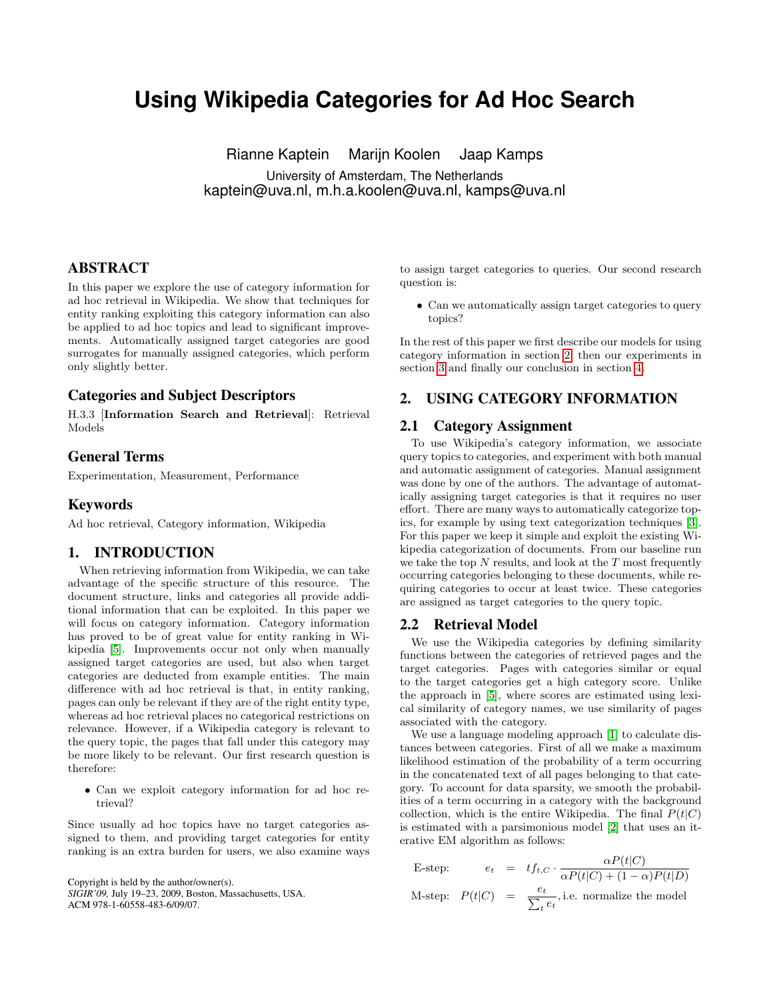# **Using Wikipedia Categories for Ad Hoc Search**

Rianne Kaptein Marijn Koolen Jaap Kamps University of Amsterdam, The Netherlands kaptein@uva.nl, m.h.a.koolen@uva.nl, kamps@uva.nl

# ABSTRACT

In this paper we explore the use of category information for ad hoc retrieval in Wikipedia. We show that techniques for entity ranking exploiting this category information can also be applied to ad hoc topics and lead to significant improvements. Automatically assigned target categories are good surrogates for manually assigned categories, which perform only slightly better.

## Categories and Subject Descriptors

H.3.3 [Information Search and Retrieval]: Retrieval Models

## General Terms

Experimentation, Measurement, Performance

## Keywords

Ad hoc retrieval, Category information, Wikipedia

## 1. INTRODUCTION

When retrieving information from Wikipedia, we can take advantage of the specific structure of this resource. The document structure, links and categories all provide additional information that can be exploited. In this paper we will focus on category information. Category information has proved to be of great value for entity ranking in Wikipedia [\[5\]](#page-1-0). Improvements occur not only when manually assigned target categories are used, but also when target categories are deducted from example entities. The main difference with ad hoc retrieval is that, in entity ranking, pages can only be relevant if they are of the right entity type, whereas ad hoc retrieval places no categorical restrictions on relevance. However, if a Wikipedia category is relevant to the query topic, the pages that fall under this category may be more likely to be relevant. Our first research question is therefore:

• Can we exploit category information for ad hoc retrieval?

Since usually ad hoc topics have no target categories assigned to them, and providing target categories for entity ranking is an extra burden for users, we also examine ways

Copyright is held by the author/owner(s). *SIGIR'09,* July 19–23, 2009, Boston, Massachusetts, USA.

ACM 978-1-60558-483-6/09/07.

to assign target categories to queries. Our second research question is:

• Can we automatically assign target categories to query topics?

In the rest of this paper we first describe our models for using category information in section [2,](#page-0-0) then our experiments in section [3](#page-1-1) and finally our conclusion in section [4.](#page-1-2)

# <span id="page-0-0"></span>2. USING CATEGORY INFORMATION

### 2.1 Category Assignment

To use Wikipedia's category information, we associate query topics to categories, and experiment with both manual and automatic assignment of categories. Manual assignment was done by one of the authors. The advantage of automatically assigning target categories is that it requires no user effort. There are many ways to automatically categorize topics, for example by using text categorization techniques [\[3\]](#page-1-3). For this paper we keep it simple and exploit the existing Wikipedia categorization of documents. From our baseline run we take the top  $N$  results, and look at the  $T$  most frequently occurring categories belonging to these documents, while requiring categories to occur at least twice. These categories are assigned as target categories to the query topic.

#### 2.2 Retrieval Model

We use the Wikipedia categories by defining similarity functions between the categories of retrieved pages and the target categories. Pages with categories similar or equal to the target categories get a high category score. Unlike the approach in [\[5\]](#page-1-0), where scores are estimated using lexical similarity of category names, we use similarity of pages associated with the category.

We use a language modeling approach [\[1\]](#page-1-4) to calculate distances between categories. First of all we make a maximum likelihood estimation of the probability of a term occurring in the concatenated text of all pages belonging to that category. To account for data sparsity, we smooth the probabilities of a term occurring in a category with the background collection, which is the entire Wikipedia. The final  $P(t|C)$ is estimated with a parsimonious model [\[2\]](#page-1-5) that uses an iterative EM algorithm as follows:

E-step:  $e_t = tf_{t,C}$ .  $\alpha P(t|C)$  $\alpha P(t|C) + (1-\alpha)P(t|D)$ M-step:  $P(t|C) = \frac{e_t}{\sum_t}$  $\frac{t}{t}$ , i.e. normalize the model